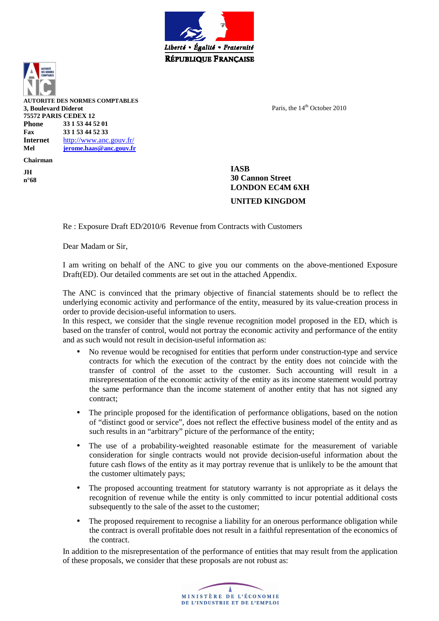

**AUTORITE DES NORMES COMPTABLES 3, Boulevard Diderot 75572 PARIS CEDEX 12 Phone 33 1 53 44 52 01 Fax 33 1 53 44 52 33 Internet** http://www.anc.gouv.fr/ **Mel jerome.haas@anc.gouv.fr**

**Chairman** 

**JH n°68**  Paris, the 14<sup>th</sup> October 2010

**IASB 30 Cannon Street LONDON EC4M 6XH UNITED KINGDOM** 

Re : Exposure Draft ED/2010/6 Revenue from Contracts with Customers

Dear Madam or Sir,

I am writing on behalf of the ANC to give you our comments on the above-mentioned Exposure Draft(ED). Our detailed comments are set out in the attached Appendix.

The ANC is convinced that the primary objective of financial statements should be to reflect the underlying economic activity and performance of the entity, measured by its value-creation process in order to provide decision-useful information to users.

In this respect, we consider that the single revenue recognition model proposed in the ED, which is based on the transfer of control, would not portray the economic activity and performance of the entity and as such would not result in decision-useful information as:

- No revenue would be recognised for entities that perform under construction-type and service contracts for which the execution of the contract by the entity does not coincide with the transfer of control of the asset to the customer. Such accounting will result in a misrepresentation of the economic activity of the entity as its income statement would portray the same performance than the income statement of another entity that has not signed any contract;
- The principle proposed for the identification of performance obligations, based on the notion of "distinct good or service", does not reflect the effective business model of the entity and as such results in an "arbitrary" picture of the performance of the entity;
- The use of a probability-weighted reasonable estimate for the measurement of variable consideration for single contracts would not provide decision-useful information about the future cash flows of the entity as it may portray revenue that is unlikely to be the amount that the customer ultimately pays;
- The proposed accounting treatment for statutory warranty is not appropriate as it delays the recognition of revenue while the entity is only committed to incur potential additional costs subsequently to the sale of the asset to the customer;
- The proposed requirement to recognise a liability for an onerous performance obligation while the contract is overall profitable does not result in a faithful representation of the economics of the contract.

In addition to the misrepresentation of the performance of entities that may result from the application of these proposals, we consider that these proposals are not robust as:

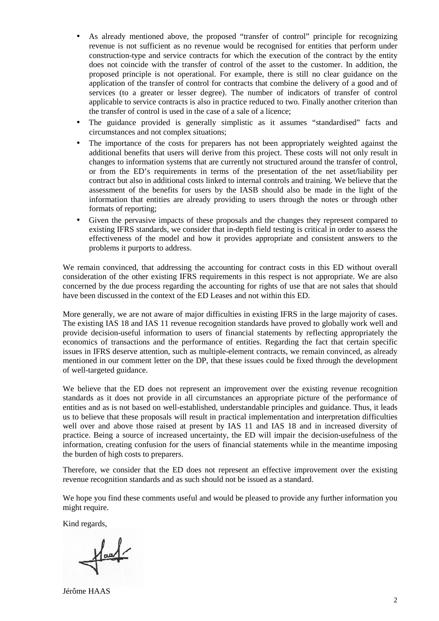- As already mentioned above, the proposed "transfer of control" principle for recognizing revenue is not sufficient as no revenue would be recognised for entities that perform under construction-type and service contracts for which the execution of the contract by the entity does not coincide with the transfer of control of the asset to the customer. In addition, the proposed principle is not operational. For example, there is still no clear guidance on the application of the transfer of control for contracts that combine the delivery of a good and of services (to a greater or lesser degree). The number of indicators of transfer of control applicable to service contracts is also in practice reduced to two. Finally another criterion than the transfer of control is used in the case of a sale of a licence;
- The guidance provided is generally simplistic as it assumes "standardised" facts and circumstances and not complex situations;
- The importance of the costs for preparers has not been appropriately weighted against the additional benefits that users will derive from this project. These costs will not only result in changes to information systems that are currently not structured around the transfer of control, or from the ED's requirements in terms of the presentation of the net asset/liability per contract but also in additional costs linked to internal controls and training. We believe that the assessment of the benefits for users by the IASB should also be made in the light of the information that entities are already providing to users through the notes or through other formats of reporting;
- Given the pervasive impacts of these proposals and the changes they represent compared to existing IFRS standards, we consider that in-depth field testing is critical in order to assess the effectiveness of the model and how it provides appropriate and consistent answers to the problems it purports to address.

We remain convinced, that addressing the accounting for contract costs in this ED without overall consideration of the other existing IFRS requirements in this respect is not appropriate. We are also concerned by the due process regarding the accounting for rights of use that are not sales that should have been discussed in the context of the ED Leases and not within this ED.

More generally, we are not aware of major difficulties in existing IFRS in the large majority of cases. The existing IAS 18 and IAS 11 revenue recognition standards have proved to globally work well and provide decision-useful information to users of financial statements by reflecting appropriately the economics of transactions and the performance of entities. Regarding the fact that certain specific issues in IFRS deserve attention, such as multiple-element contracts, we remain convinced, as already mentioned in our comment letter on the DP, that these issues could be fixed through the development of well-targeted guidance.

We believe that the ED does not represent an improvement over the existing revenue recognition standards as it does not provide in all circumstances an appropriate picture of the performance of entities and as is not based on well-established, understandable principles and guidance. Thus, it leads us to believe that these proposals will result in practical implementation and interpretation difficulties well over and above those raised at present by IAS 11 and IAS 18 and in increased diversity of practice. Being a source of increased uncertainty, the ED will impair the decision-usefulness of the information, creating confusion for the users of financial statements while in the meantime imposing the burden of high costs to preparers.

Therefore, we consider that the ED does not represent an effective improvement over the existing revenue recognition standards and as such should not be issued as a standard.

We hope you find these comments useful and would be pleased to provide any further information you might require.

Kind regards,

 $\frac{1}{\sqrt{2}}$ 

Jérôme HAAS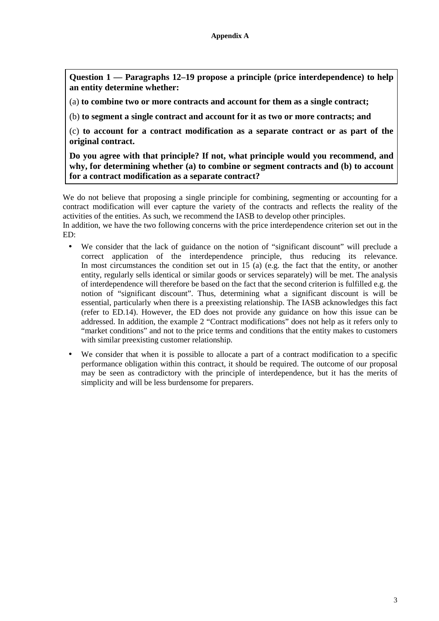**Question 1 — Paragraphs 12–19 propose a principle (price interdependence) to help an entity determine whether:** 

(a) **to combine two or more contracts and account for them as a single contract;** 

(b) **to segment a single contract and account for it as two or more contracts; and** 

(c) **to account for a contract modification as a separate contract or as part of the original contract.** 

**Do you agree with that principle? If not, what principle would you recommend, and why, for determining whether (a) to combine or segment contracts and (b) to account for a contract modification as a separate contract?**

We do not believe that proposing a single principle for combining, segmenting or accounting for a contract modification will ever capture the variety of the contracts and reflects the reality of the activities of the entities. As such, we recommend the IASB to develop other principles.

In addition, we have the two following concerns with the price interdependence criterion set out in the ED:

- We consider that the lack of guidance on the notion of "significant discount" will preclude a correct application of the interdependence principle, thus reducing its relevance. In most circumstances the condition set out in 15 (a) (e.g. the fact that the entity, or another entity, regularly sells identical or similar goods or services separately) will be met. The analysis of interdependence will therefore be based on the fact that the second criterion is fulfilled e.g. the notion of "significant discount". Thus, determining what a significant discount is will be essential, particularly when there is a preexisting relationship. The IASB acknowledges this fact (refer to ED.14). However, the ED does not provide any guidance on how this issue can be addressed. In addition, the example 2 "Contract modifications" does not help as it refers only to "market conditions" and not to the price terms and conditions that the entity makes to customers with similar preexisting customer relationship.
- We consider that when it is possible to allocate a part of a contract modification to a specific performance obligation within this contract, it should be required. The outcome of our proposal may be seen as contradictory with the principle of interdependence, but it has the merits of simplicity and will be less burdensome for preparers.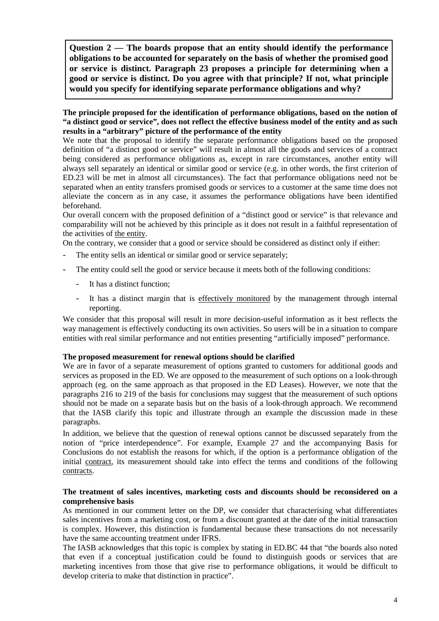**Question 2 — The boards propose that an entity should identify the performance obligations to be accounted for separately on the basis of whether the promised good or service is distinct. Paragraph 23 proposes a principle for determining when a good or service is distinct. Do you agree with that principle? If not, what principle would you specify for identifying separate performance obligations and why?** 

**The principle proposed for the identification of performance obligations, based on the notion of "a distinct good or service", does not reflect the effective business model of the entity and as such results in a "arbitrary" picture of the performance of the entity** 

We note that the proposal to identify the separate performance obligations based on the proposed definition of "a distinct good or service" will result in almost all the goods and services of a contract being considered as performance obligations as, except in rare circumstances, another entity will always sell separately an identical or similar good or service (e.g. in other words, the first criterion of ED.23 will be met in almost all circumstances). The fact that performance obligations need not be separated when an entity transfers promised goods or services to a customer at the same time does not alleviate the concern as in any case, it assumes the performance obligations have been identified beforehand.

Our overall concern with the proposed definition of a "distinct good or service" is that relevance and comparability will not be achieved by this principle as it does not result in a faithful representation of the activities of the entity.

On the contrary, we consider that a good or service should be considered as distinct only if either:

- The entity sells an identical or similar good or service separately;
- The entity could sell the good or service because it meets both of the following conditions:
	- It has a distinct function;
	- It has a distinct margin that is effectively monitored by the management through internal reporting.

We consider that this proposal will result in more decision-useful information as it best reflects the way management is effectively conducting its own activities. So users will be in a situation to compare entities with real similar performance and not entities presenting "artificially imposed" performance.

#### **The proposed measurement for renewal options should be clarified**

We are in favor of a separate measurement of options granted to customers for additional goods and services as proposed in the ED. We are opposed to the measurement of such options on a look-through approach (eg. on the same approach as that proposed in the ED Leases). However, we note that the paragraphs 216 to 219 of the basis for conclusions may suggest that the measurement of such options should not be made on a separate basis but on the basis of a look-through approach. We recommend that the IASB clarify this topic and illustrate through an example the discussion made in these paragraphs.

In addition, we believe that the question of renewal options cannot be discussed separately from the notion of "price interdependence". For example, Example 27 and the accompanying Basis for Conclusions do not establish the reasons for which, if the option is a performance obligation of the initial contract, its measurement should take into effect the terms and conditions of the following contracts.

## **The treatment of sales incentives, marketing costs and discounts should be reconsidered on a comprehensive basis**

As mentioned in our comment letter on the DP, we consider that characterising what differentiates sales incentives from a marketing cost, or from a discount granted at the date of the initial transaction is complex. However, this distinction is fundamental because these transactions do not necessarily have the same accounting treatment under IFRS.

The IASB acknowledges that this topic is complex by stating in ED.BC 44 that "the boards also noted that even if a conceptual justification could be found to distinguish goods or services that are marketing incentives from those that give rise to performance obligations, it would be difficult to develop criteria to make that distinction in practice".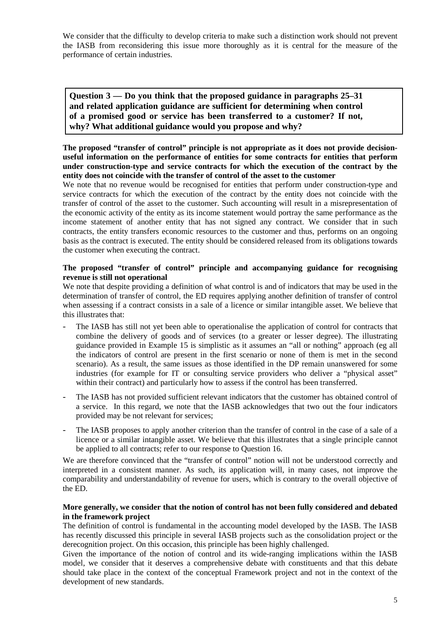We consider that the difficulty to develop criteria to make such a distinction work should not prevent the IASB from reconsidering this issue more thoroughly as it is central for the measure of the performance of certain industries.

**Question 3 — Do you think that the proposed guidance in paragraphs 25–31 and related application guidance are sufficient for determining when control of a promised good or service has been transferred to a customer? If not, why? What additional guidance would you propose and why?** 

## **The proposed "transfer of control" principle is not appropriate as it does not provide decisionuseful information on the performance of entities for some contracts for entities that perform under construction-type and service contracts for which the execution of the contract by the entity does not coincide with the transfer of control of the asset to the customer**

We note that no revenue would be recognised for entities that perform under construction-type and service contracts for which the execution of the contract by the entity does not coincide with the transfer of control of the asset to the customer. Such accounting will result in a misrepresentation of the economic activity of the entity as its income statement would portray the same performance as the income statement of another entity that has not signed any contract. We consider that in such contracts, the entity transfers economic resources to the customer and thus, performs on an ongoing basis as the contract is executed. The entity should be considered released from its obligations towards the customer when executing the contract.

## **The proposed "transfer of control" principle and accompanying guidance for recognising revenue is still not operational**

We note that despite providing a definition of what control is and of indicators that may be used in the determination of transfer of control, the ED requires applying another definition of transfer of control when assessing if a contract consists in a sale of a licence or similar intangible asset. We believe that this illustrates that:

- The IASB has still not yet been able to operationalise the application of control for contracts that combine the delivery of goods and of services (to a greater or lesser degree). The illustrating guidance provided in Example 15 is simplistic as it assumes an "all or nothing" approach (eg all the indicators of control are present in the first scenario or none of them is met in the second scenario). As a result, the same issues as those identified in the DP remain unanswered for some industries (for example for IT or consulting service providers who deliver a "physical asset" within their contract) and particularly how to assess if the control has been transferred.
- The IASB has not provided sufficient relevant indicators that the customer has obtained control of a service. In this regard, we note that the IASB acknowledges that two out the four indicators provided may be not relevant for services;
- The IASB proposes to apply another criterion than the transfer of control in the case of a sale of a licence or a similar intangible asset. We believe that this illustrates that a single principle cannot be applied to all contracts; refer to our response to Question 16.

We are therefore convinced that the "transfer of control" notion will not be understood correctly and interpreted in a consistent manner. As such, its application will, in many cases, not improve the comparability and understandability of revenue for users, which is contrary to the overall objective of the ED.

### **More generally, we consider that the notion of control has not been fully considered and debated in the framework project**

The definition of control is fundamental in the accounting model developed by the IASB. The IASB has recently discussed this principle in several IASB projects such as the consolidation project or the derecognition project. On this occasion, this principle has been highly challenged.

Given the importance of the notion of control and its wide-ranging implications within the IASB model, we consider that it deserves a comprehensive debate with constituents and that this debate should take place in the context of the conceptual Framework project and not in the context of the development of new standards.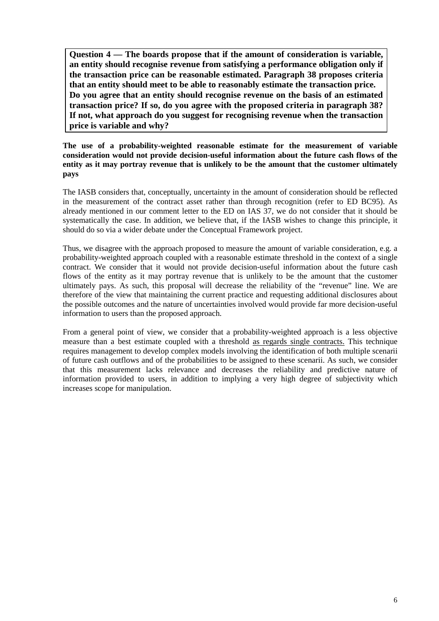**Question 4 — The boards propose that if the amount of consideration is variable, an entity should recognise revenue from satisfying a performance obligation only if the transaction price can be reasonable estimated. Paragraph 38 proposes criteria that an entity should meet to be able to reasonably estimate the transaction price. Do you agree that an entity should recognise revenue on the basis of an estimated transaction price? If so, do you agree with the proposed criteria in paragraph 38? If not, what approach do you suggest for recognising revenue when the transaction price is variable and why?** 

## **The use of a probability-weighted reasonable estimate for the measurement of variable consideration would not provide decision-useful information about the future cash flows of the entity as it may portray revenue that is unlikely to be the amount that the customer ultimately pays**

The IASB considers that, conceptually, uncertainty in the amount of consideration should be reflected in the measurement of the contract asset rather than through recognition (refer to ED BC95). As already mentioned in our comment letter to the ED on IAS 37, we do not consider that it should be systematically the case. In addition, we believe that, if the IASB wishes to change this principle, it should do so via a wider debate under the Conceptual Framework project.

Thus, we disagree with the approach proposed to measure the amount of variable consideration, e.g. a probability-weighted approach coupled with a reasonable estimate threshold in the context of a single contract. We consider that it would not provide decision-useful information about the future cash flows of the entity as it may portray revenue that is unlikely to be the amount that the customer ultimately pays. As such, this proposal will decrease the reliability of the "revenue" line. We are therefore of the view that maintaining the current practice and requesting additional disclosures about the possible outcomes and the nature of uncertainties involved would provide far more decision-useful information to users than the proposed approach.

From a general point of view, we consider that a probability-weighted approach is a less objective measure than a best estimate coupled with a threshold as regards single contracts. This technique requires management to develop complex models involving the identification of both multiple scenarii of future cash outflows and of the probabilities to be assigned to these scenarii. As such, we consider that this measurement lacks relevance and decreases the reliability and predictive nature of information provided to users, in addition to implying a very high degree of subjectivity which increases scope for manipulation.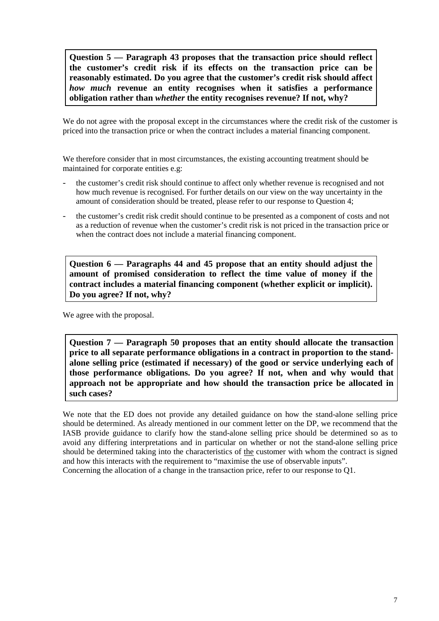**Question 5 — Paragraph 43 proposes that the transaction price should reflect the customer's credit risk if its effects on the transaction price can be reasonably estimated. Do you agree that the customer's credit risk should affect**  *how much* **revenue an entity recognises when it satisfies a performance obligation rather than** *whether* **the entity recognises revenue? If not, why?** 

We do not agree with the proposal except in the circumstances where the credit risk of the customer is priced into the transaction price or when the contract includes a material financing component.

We therefore consider that in most circumstances, the existing accounting treatment should be maintained for corporate entities e.g:

- the customer's credit risk should continue to affect only whether revenue is recognised and not how much revenue is recognised. For further details on our view on the way uncertainty in the amount of consideration should be treated, please refer to our response to Question 4;
- the customer's credit risk credit should continue to be presented as a component of costs and not as a reduction of revenue when the customer's credit risk is not priced in the transaction price or when the contract does not include a material financing component.

**Question 6 — Paragraphs 44 and 45 propose that an entity should adjust the amount of promised consideration to reflect the time value of money if the**  contract includes a material financing component (whether explicit or implicit). **Do you agree? If not, why?** 

We agree with the proposal.

**Question 7 — Paragraph 50 proposes that an entity should allocate the transaction price to all separate performance obligations in a contract in proportion to the standalone selling price (estimated if necessary) of the good or service underlying each of those performance obligations. Do you agree? If not, when and why would that approach not be appropriate and how should the transaction price be allocated in such cases?** 

We note that the ED does not provide any detailed guidance on how the stand-alone selling price should be determined. As already mentioned in our comment letter on the DP, we recommend that the IASB provide guidance to clarify how the stand-alone selling price should be determined so as to avoid any differing interpretations and in particular on whether or not the stand-alone selling price should be determined taking into the characteristics of the customer with whom the contract is signed and how this interacts with the requirement to "maximise the use of observable inputs". Concerning the allocation of a change in the transaction price, refer to our response to Q1.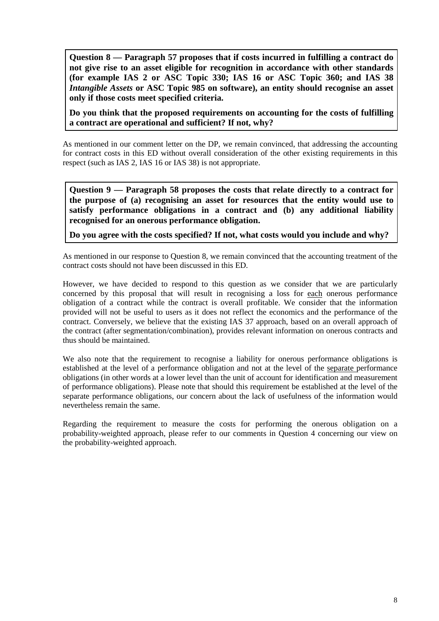**Question 8 — Paragraph 57 proposes that if costs incurred in fulfilling a contract do not give rise to an asset eligible for recognition in accordance with other standards (for example IAS 2 or ASC Topic 330; IAS 16 or ASC Topic 360; and IAS 38**  *Intangible Assets* **or ASC Topic 985 on software), an entity should recognise an asset only if those costs meet specified criteria.** 

**Do you think that the proposed requirements on accounting for the costs of fulfilling a contract are operational and sufficient? If not, why?** 

As mentioned in our comment letter on the DP, we remain convinced, that addressing the accounting for contract costs in this ED without overall consideration of the other existing requirements in this respect (such as IAS 2, IAS 16 or IAS 38) is not appropriate.

**Question 9 — Paragraph 58 proposes the costs that relate directly to a contract for the purpose of (a) recognising an asset for resources that the entity would use to satisfy performance obligations in a contract and (b) any additional liability recognised for an onerous performance obligation.** 

**Do you agree with the costs specified? If not, what costs would you include and why?** 

As mentioned in our response to Question 8, we remain convinced that the accounting treatment of the contract costs should not have been discussed in this ED.

However, we have decided to respond to this question as we consider that we are particularly concerned by this proposal that will result in recognising a loss for each onerous performance obligation of a contract while the contract is overall profitable. We consider that the information provided will not be useful to users as it does not reflect the economics and the performance of the contract. Conversely, we believe that the existing IAS 37 approach, based on an overall approach of the contract (after segmentation/combination), provides relevant information on onerous contracts and thus should be maintained.

We also note that the requirement to recognise a liability for onerous performance obligations is established at the level of a performance obligation and not at the level of the separate performance obligations (in other words at a lower level than the unit of account for identification and measurement of performance obligations). Please note that should this requirement be established at the level of the separate performance obligations, our concern about the lack of usefulness of the information would nevertheless remain the same.

Regarding the requirement to measure the costs for performing the onerous obligation on a probability-weighted approach, please refer to our comments in Question 4 concerning our view on the probability-weighted approach.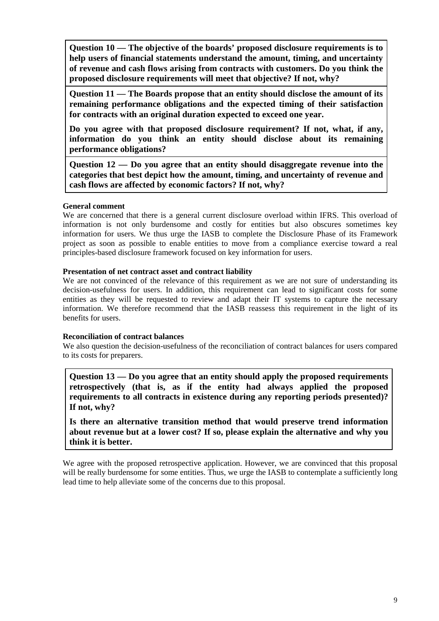**Question 10 — The objective of the boards' proposed disclosure requirements is to help users of financial statements understand the amount, timing, and uncertainty of revenue and cash flows arising from contracts with customers. Do you think the proposed disclosure requirements will meet that objective? If not, why?** 

**Question 11 — The Boards propose that an entity should disclose the amount of its remaining performance obligations and the expected timing of their satisfaction for contracts with an original duration expected to exceed one year.** 

**Do you agree with that proposed disclosure requirement? If not, what, if any, information do you think an entity should disclose about its remaining performance obligations?** 

**Question 12 — Do you agree that an entity should disaggregate revenue into the categories that best depict how the amount, timing, and uncertainty of revenue and cash flows are affected by economic factors? If not, why?** 

### **General comment**

We are concerned that there is a general current disclosure overload within IFRS. This overload of information is not only burdensome and costly for entities but also obscures sometimes key information for users. We thus urge the IASB to complete the Disclosure Phase of its Framework project as soon as possible to enable entities to move from a compliance exercise toward a real principles-based disclosure framework focused on key information for users.

## **Presentation of net contract asset and contract liability**

We are not convinced of the relevance of this requirement as we are not sure of understanding its decision-usefulness for users. In addition, this requirement can lead to significant costs for some entities as they will be requested to review and adapt their IT systems to capture the necessary information. We therefore recommend that the IASB reassess this requirement in the light of its benefits for users.

### **Reconciliation of contract balances**

We also question the decision-usefulness of the reconciliation of contract balances for users compared to its costs for preparers.

**Question 13 — Do you agree that an entity should apply the proposed requirements retrospectively (that is, as if the entity had always applied the proposed requirements to all contracts in existence during any reporting periods presented)? If not, why?** 

**Is there an alternative transition method that would preserve trend information about revenue but at a lower cost? If so, please explain the alternative and why you think it is better.** 

We agree with the proposed retrospective application. However, we are convinced that this proposal will be really burdensome for some entities. Thus, we urge the IASB to contemplate a sufficiently long lead time to help alleviate some of the concerns due to this proposal.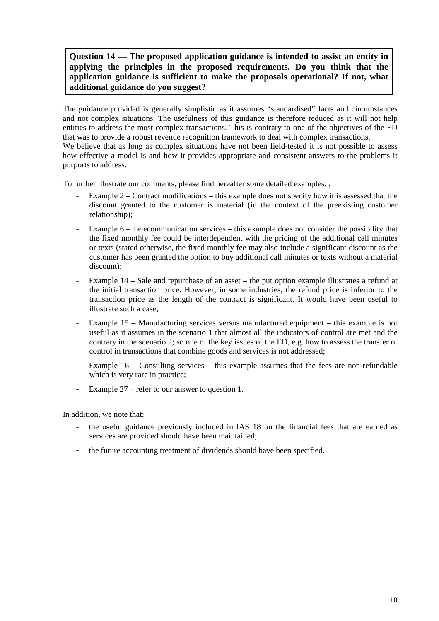# **Question 14 — The proposed application guidance is intended to assist an entity in applying the principles in the proposed requirements. Do you think that the application guidance is sufficient to make the proposals operational? If not, what additional guidance do you suggest?**

The guidance provided is generally simplistic as it assumes "standardised" facts and circumstances and not complex situations. The usefulness of this guidance is therefore reduced as it will not help entities to address the most complex transactions. This is contrary to one of the objectives of the ED that was to provide a robust revenue recognition framework to deal with complex transactions.

We believe that as long as complex situations have not been field-tested it is not possible to assess how effective a model is and how it provides appropriate and consistent answers to the problems it purports to address.

To further illustrate our comments, please find hereafter some detailed examples: ,

- Example 2 Contract modifications this example does not specify how it is assessed that the discount granted to the customer is material (in the context of the preexisting customer relationship);
- Example 6 Telecommunication services this example does not consider the possibility that the fixed monthly fee could be interdependent with the pricing of the additional call minutes or texts (stated otherwise, the fixed monthly fee may also include a significant discount as the customer has been granted the option to buy additional call minutes or texts without a material discount);
- Example 14 Sale and repurchase of an asset the put option example illustrates a refund at the initial transaction price. However, in some industries, the refund price is inferior to the transaction price as the length of the contract is significant. It would have been useful to illustrate such a case;
- Example 15 Manufacturing services versus manufactured equipment this example is not useful as it assumes in the scenario 1 that almost all the indicators of control are met and the contrary in the scenario 2; so one of the key issues of the ED, e.g. how to assess the transfer of control in transactions that combine goods and services is not addressed;
- Example 16 Consulting services this example assumes that the fees are non-refundable which is very rare in practice;
- Example 27 refer to our answer to question 1.

In addition, we note that:

- the useful guidance previously included in IAS 18 on the financial fees that are earned as services are provided should have been maintained;
- the future accounting treatment of dividends should have been specified.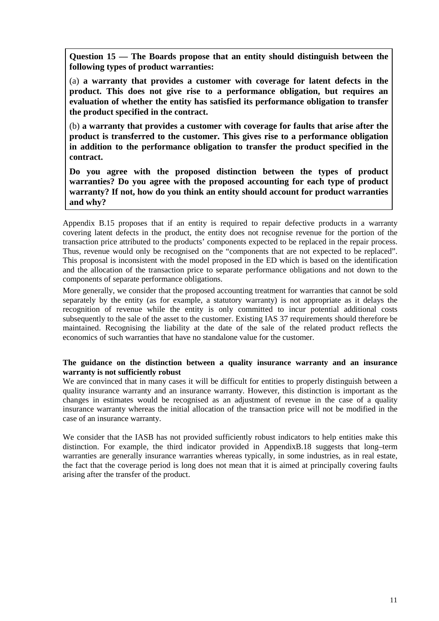**Question 15 — The Boards propose that an entity should distinguish between the following types of product warranties:** 

(a) **a warranty that provides a customer with coverage for latent defects in the product. This does not give rise to a performance obligation, but requires an evaluation of whether the entity has satisfied its performance obligation to transfer the product specified in the contract.** 

(b) **a warranty that provides a customer with coverage for faults that arise after the product is transferred to the customer. This gives rise to a performance obligation in addition to the performance obligation to transfer the product specified in the contract.** 

**Do you agree with the proposed distinction between the types of product warranties? Do you agree with the proposed accounting for each type of product warranty? If not, how do you think an entity should account for product warranties and why?** 

Appendix B.15 proposes that if an entity is required to repair defective products in a warranty covering latent defects in the product, the entity does not recognise revenue for the portion of the transaction price attributed to the products' components expected to be replaced in the repair process. Thus, revenue would only be recognised on the "components that are not expected to be replaced". This proposal is inconsistent with the model proposed in the ED which is based on the identification and the allocation of the transaction price to separate performance obligations and not down to the components of separate performance obligations.

More generally, we consider that the proposed accounting treatment for warranties that cannot be sold separately by the entity (as for example, a statutory warranty) is not appropriate as it delays the recognition of revenue while the entity is only committed to incur potential additional costs subsequently to the sale of the asset to the customer. Existing IAS 37 requirements should therefore be maintained. Recognising the liability at the date of the sale of the related product reflects the economics of such warranties that have no standalone value for the customer.

## **The guidance on the distinction between a quality insurance warranty and an insurance warranty is not sufficiently robust**

We are convinced that in many cases it will be difficult for entities to properly distinguish between a quality insurance warranty and an insurance warranty. However, this distinction is important as the changes in estimates would be recognised as an adjustment of revenue in the case of a quality insurance warranty whereas the initial allocation of the transaction price will not be modified in the case of an insurance warranty.

We consider that the IASB has not provided sufficiently robust indicators to help entities make this distinction. For example, the third indicator provided in AppendixB.18 suggests that long–term warranties are generally insurance warranties whereas typically, in some industries, as in real estate, the fact that the coverage period is long does not mean that it is aimed at principally covering faults arising after the transfer of the product.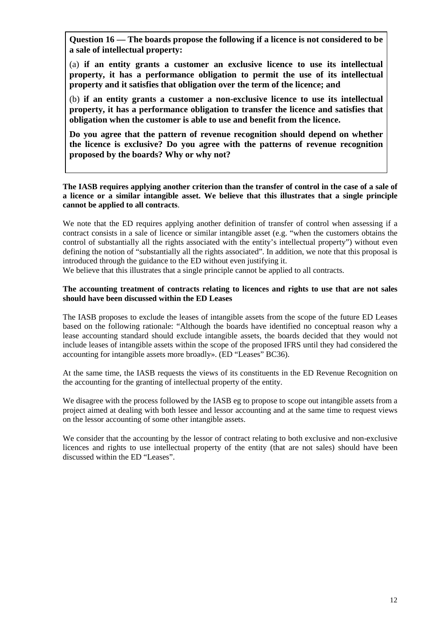**Question 16 — The boards propose the following if a licence is not considered to be a sale of intellectual property:** 

(a) **if an entity grants a customer an exclusive licence to use its intellectual property, it has a performance obligation to permit the use of its intellectual property and it satisfies that obligation over the term of the licence; and** 

(b) **if an entity grants a customer a non-exclusive licence to use its intellectual property, it has a performance obligation to transfer the licence and satisfies that obligation when the customer is able to use and benefit from the licence.** 

**Do you agree that the pattern of revenue recognition should depend on whether the licence is exclusive? Do you agree with the patterns of revenue recognition proposed by the boards? Why or why not?** 

## **The IASB requires applying another criterion than the transfer of control in the case of a sale of a licence or a similar intangible asset. We believe that this illustrates that a single principle cannot be applied to all contracts**.

We note that the ED requires applying another definition of transfer of control when assessing if a contract consists in a sale of licence or similar intangible asset (e.g. "when the customers obtains the control of substantially all the rights associated with the entity's intellectual property") without even defining the notion of "substantially all the rights associated". In addition, we note that this proposal is introduced through the guidance to the ED without even justifying it.

We believe that this illustrates that a single principle cannot be applied to all contracts.

## **The accounting treatment of contracts relating to licences and rights to use that are not sales should have been discussed within the ED Leases**

The IASB proposes to exclude the leases of intangible assets from the scope of the future ED Leases based on the following rationale: "Although the boards have identified no conceptual reason why a lease accounting standard should exclude intangible assets, the boards decided that they would not include leases of intangible assets within the scope of the proposed IFRS until they had considered the accounting for intangible assets more broadly». (ED "Leases" BC36).

At the same time, the IASB requests the views of its constituents in the ED Revenue Recognition on the accounting for the granting of intellectual property of the entity.

We disagree with the process followed by the IASB eg to propose to scope out intangible assets from a project aimed at dealing with both lessee and lessor accounting and at the same time to request views on the lessor accounting of some other intangible assets.

We consider that the accounting by the lessor of contract relating to both exclusive and non-exclusive licences and rights to use intellectual property of the entity (that are not sales) should have been discussed within the ED "Leases".